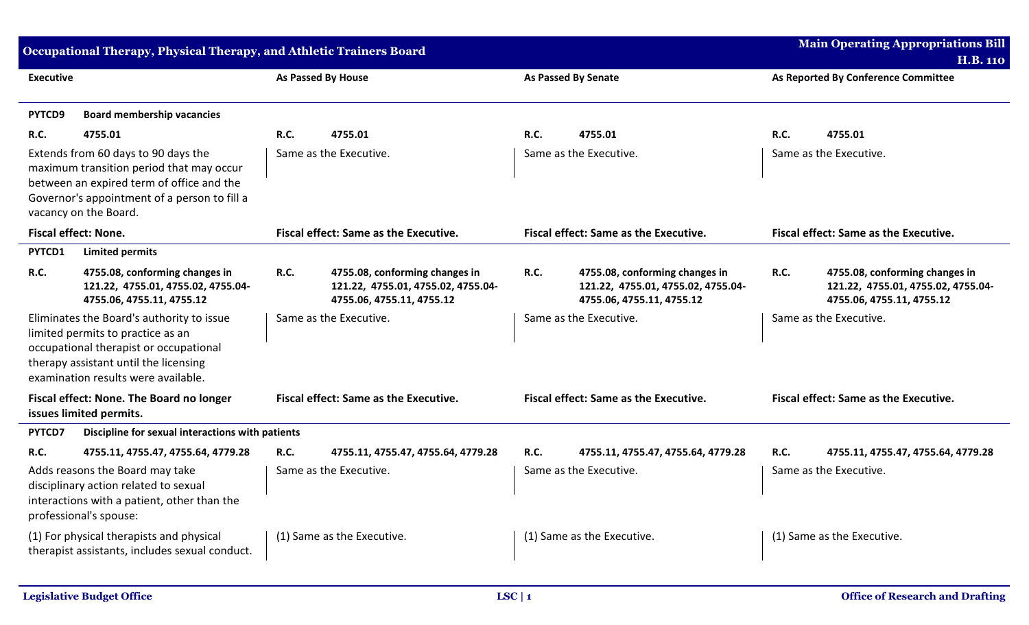| <b>Main Operating Appropriations Bill</b><br>Occupational Therapy, Physical Therapy, and Athletic Trainers Board                                                                                         |                                                                                                   |                                       |                                                                                                   |                                       | <b>H.B. 110</b>                                                                                   |      |                                                                                                   |  |
|----------------------------------------------------------------------------------------------------------------------------------------------------------------------------------------------------------|---------------------------------------------------------------------------------------------------|---------------------------------------|---------------------------------------------------------------------------------------------------|---------------------------------------|---------------------------------------------------------------------------------------------------|------|---------------------------------------------------------------------------------------------------|--|
| <b>Executive</b>                                                                                                                                                                                         |                                                                                                   | As Passed By House                    |                                                                                                   |                                       | <b>As Passed By Senate</b>                                                                        |      | As Reported By Conference Committee                                                               |  |
| PYTCD9                                                                                                                                                                                                   | <b>Board membership vacancies</b>                                                                 |                                       |                                                                                                   |                                       |                                                                                                   |      |                                                                                                   |  |
| <b>R.C.</b>                                                                                                                                                                                              | 4755.01                                                                                           | <b>R.C.</b>                           | 4755.01                                                                                           | R.C.                                  | 4755.01                                                                                           | R.C. | 4755.01                                                                                           |  |
| Extends from 60 days to 90 days the<br>maximum transition period that may occur<br>between an expired term of office and the<br>Governor's appointment of a person to fill a<br>vacancy on the Board.    |                                                                                                   | Same as the Executive.                |                                                                                                   | Same as the Executive.                |                                                                                                   |      | Same as the Executive.                                                                            |  |
| <b>Fiscal effect: None.</b>                                                                                                                                                                              |                                                                                                   | Fiscal effect: Same as the Executive. |                                                                                                   | Fiscal effect: Same as the Executive. |                                                                                                   |      | Fiscal effect: Same as the Executive.                                                             |  |
| PYTCD1                                                                                                                                                                                                   | <b>Limited permits</b>                                                                            |                                       |                                                                                                   |                                       |                                                                                                   |      |                                                                                                   |  |
| <b>R.C.</b>                                                                                                                                                                                              | 4755.08, conforming changes in<br>121.22, 4755.01, 4755.02, 4755.04-<br>4755.06, 4755.11, 4755.12 | <b>R.C.</b>                           | 4755.08, conforming changes in<br>121.22, 4755.01, 4755.02, 4755.04-<br>4755.06, 4755.11, 4755.12 | <b>R.C.</b>                           | 4755.08, conforming changes in<br>121.22, 4755.01, 4755.02, 4755.04-<br>4755.06, 4755.11, 4755.12 | R.C. | 4755.08, conforming changes in<br>121.22, 4755.01, 4755.02, 4755.04-<br>4755.06, 4755.11, 4755.12 |  |
| Eliminates the Board's authority to issue<br>limited permits to practice as an<br>occupational therapist or occupational<br>therapy assistant until the licensing<br>examination results were available. |                                                                                                   |                                       | Same as the Executive.                                                                            |                                       | Same as the Executive.                                                                            |      | Same as the Executive.                                                                            |  |
| Fiscal effect: None. The Board no longer<br>issues limited permits.                                                                                                                                      |                                                                                                   |                                       | <b>Fiscal effect: Same as the Executive.</b>                                                      |                                       | <b>Fiscal effect: Same as the Executive.</b>                                                      |      | <b>Fiscal effect: Same as the Executive.</b>                                                      |  |
| PYTCD7                                                                                                                                                                                                   | Discipline for sexual interactions with patients                                                  |                                       |                                                                                                   |                                       |                                                                                                   |      |                                                                                                   |  |
| <b>R.C.</b>                                                                                                                                                                                              | 4755.11, 4755.47, 4755.64, 4779.28                                                                | <b>R.C.</b>                           | 4755.11, 4755.47, 4755.64, 4779.28                                                                | R.C.                                  | 4755.11, 4755.47, 4755.64, 4779.28                                                                | R.C. | 4755.11, 4755.47, 4755.64, 4779.28                                                                |  |
| Adds reasons the Board may take<br>disciplinary action related to sexual<br>interactions with a patient, other than the<br>professional's spouse:                                                        |                                                                                                   |                                       | Same as the Executive.                                                                            |                                       | Same as the Executive.                                                                            |      | Same as the Executive.                                                                            |  |
| (1) For physical therapists and physical<br>therapist assistants, includes sexual conduct.                                                                                                               |                                                                                                   |                                       | (1) Same as the Executive.                                                                        |                                       | (1) Same as the Executive.                                                                        |      | (1) Same as the Executive.                                                                        |  |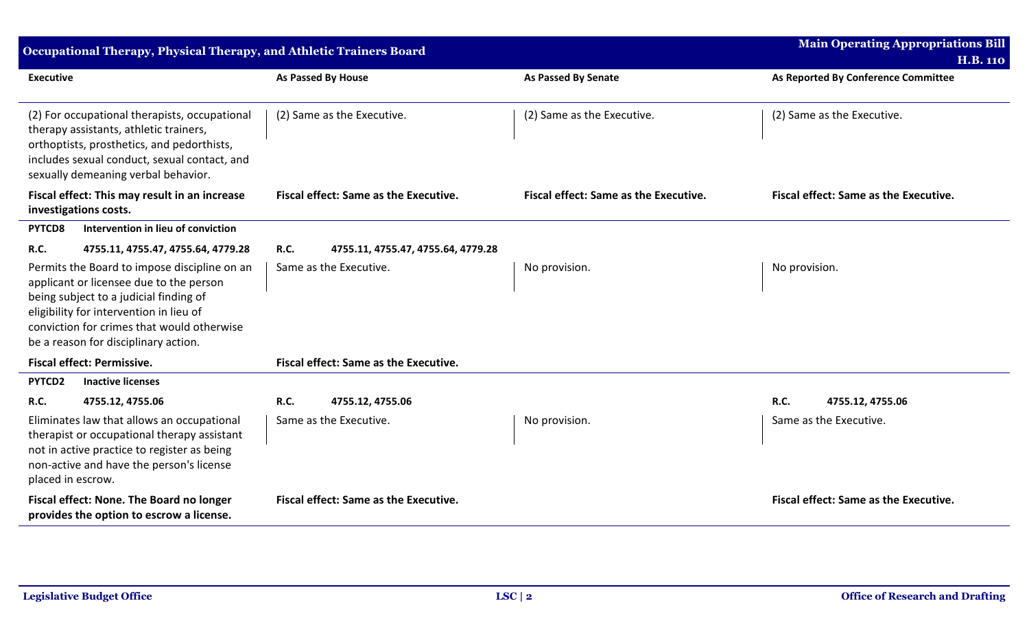| Occupational Therapy, Physical Therapy, and Athletic Trainers Board                                                                                                                                                                                                | <b>Main Operating Appropriations Bill</b><br><b>H.B. 110</b> |                                       |                                       |
|--------------------------------------------------------------------------------------------------------------------------------------------------------------------------------------------------------------------------------------------------------------------|--------------------------------------------------------------|---------------------------------------|---------------------------------------|
| <b>Executive</b>                                                                                                                                                                                                                                                   | As Passed By House                                           | <b>As Passed By Senate</b>            | As Reported By Conference Committee   |
| (2) For occupational therapists, occupational<br>therapy assistants, athletic trainers,<br>orthoptists, prosthetics, and pedorthists,<br>includes sexual conduct, sexual contact, and<br>sexually demeaning verbal behavior.                                       | (2) Same as the Executive.                                   | (2) Same as the Executive.            | (2) Same as the Executive.            |
| Fiscal effect: This may result in an increase<br>investigations costs.                                                                                                                                                                                             | <b>Fiscal effect: Same as the Executive.</b>                 | Fiscal effect: Same as the Executive. | Fiscal effect: Same as the Executive. |
| Intervention in lieu of conviction<br>PYTCD8                                                                                                                                                                                                                       |                                                              |                                       |                                       |
| R.C.<br>4755.11, 4755.47, 4755.64, 4779.28                                                                                                                                                                                                                         | <b>R.C.</b><br>4755.11, 4755.47, 4755.64, 4779.28            |                                       |                                       |
| Permits the Board to impose discipline on an<br>applicant or licensee due to the person<br>being subject to a judicial finding of<br>eligibility for intervention in lieu of<br>conviction for crimes that would otherwise<br>be a reason for disciplinary action. | Same as the Executive.                                       | No provision.                         | No provision.                         |
| <b>Fiscal effect: Permissive.</b>                                                                                                                                                                                                                                  | Fiscal effect: Same as the Executive.                        |                                       |                                       |
| PYTCD2<br><b>Inactive licenses</b>                                                                                                                                                                                                                                 |                                                              |                                       |                                       |
| R.C.<br>4755.12, 4755.06                                                                                                                                                                                                                                           | <b>R.C.</b><br>4755.12, 4755.06                              |                                       | <b>R.C.</b><br>4755.12, 4755.06       |
| Eliminates law that allows an occupational<br>therapist or occupational therapy assistant<br>not in active practice to register as being<br>non-active and have the person's license<br>placed in escrow.                                                          | Same as the Executive.                                       | No provision.                         | Same as the Executive.                |
| Fiscal effect: None. The Board no longer<br>provides the option to escrow a license.                                                                                                                                                                               | Fiscal effect: Same as the Executive.                        |                                       | Fiscal effect: Same as the Executive. |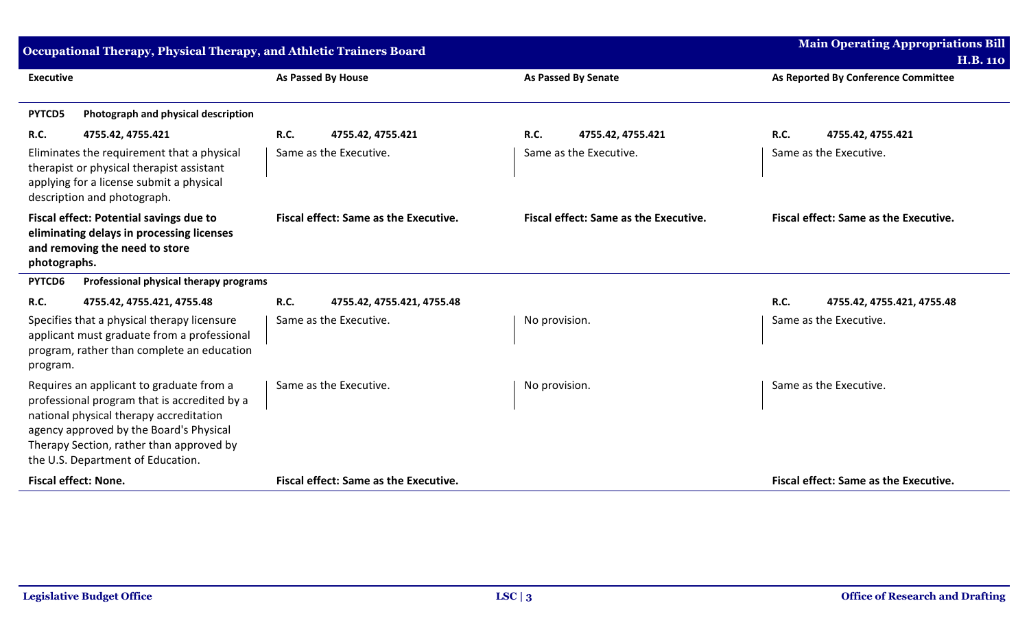| Occupational Therapy, Physical Therapy, and Athletic Trainers Board                                                                                                                                                                                             | <b>Main Operating Appropriations Bill</b><br><b>H.B. 110</b> |                                       |                                              |
|-----------------------------------------------------------------------------------------------------------------------------------------------------------------------------------------------------------------------------------------------------------------|--------------------------------------------------------------|---------------------------------------|----------------------------------------------|
| <b>Executive</b>                                                                                                                                                                                                                                                | <b>As Passed By House</b>                                    | <b>As Passed By Senate</b>            | As Reported By Conference Committee          |
| Photograph and physical description<br>PYTCD5                                                                                                                                                                                                                   |                                                              |                                       |                                              |
| R.C.<br>4755.42, 4755.421                                                                                                                                                                                                                                       | <b>R.C.</b><br>4755.42, 4755.421                             | <b>R.C.</b><br>4755.42, 4755.421      | <b>R.C.</b><br>4755.42, 4755.421             |
| Eliminates the requirement that a physical<br>therapist or physical therapist assistant<br>applying for a license submit a physical<br>description and photograph.                                                                                              | Same as the Executive.                                       | Same as the Executive.                | Same as the Executive.                       |
| <b>Fiscal effect: Potential savings due to</b><br>eliminating delays in processing licenses<br>and removing the need to store<br>photographs.                                                                                                                   | <b>Fiscal effect: Same as the Executive.</b>                 | Fiscal effect: Same as the Executive. | <b>Fiscal effect: Same as the Executive.</b> |
| PYTCD6<br>Professional physical therapy programs                                                                                                                                                                                                                |                                                              |                                       |                                              |
| R.C.<br>4755.42, 4755.421, 4755.48                                                                                                                                                                                                                              | <b>R.C.</b><br>4755.42, 4755.421, 4755.48                    |                                       | <b>R.C.</b><br>4755.42, 4755.421, 4755.48    |
| Specifies that a physical therapy licensure<br>applicant must graduate from a professional<br>program, rather than complete an education<br>program.                                                                                                            | Same as the Executive.                                       | No provision.                         | Same as the Executive.                       |
| Requires an applicant to graduate from a<br>professional program that is accredited by a<br>national physical therapy accreditation<br>agency approved by the Board's Physical<br>Therapy Section, rather than approved by<br>the U.S. Department of Education. | Same as the Executive.                                       | No provision.                         | Same as the Executive.                       |
| <b>Fiscal effect: None.</b>                                                                                                                                                                                                                                     | <b>Fiscal effect: Same as the Executive.</b>                 |                                       | Fiscal effect: Same as the Executive.        |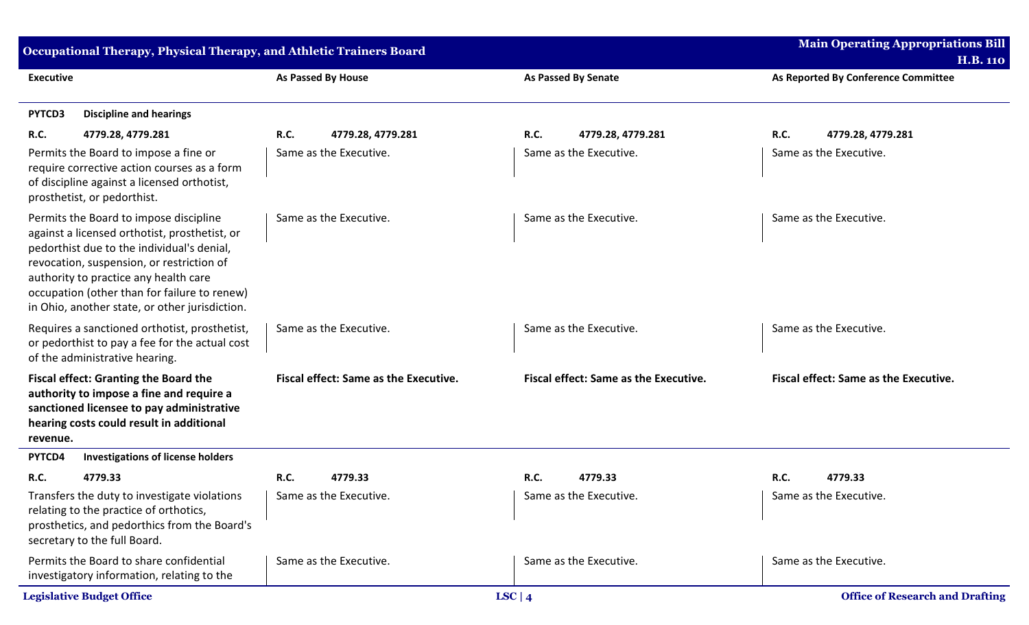| Occupational Therapy, Physical Therapy, and Athletic Trainers Board                                                                                                                           |                                                                                                                                                                                                                                                                                                                               |                                       |                                              | <b>Main Operating Appropriations Bill</b><br><b>H.B. 110</b> |  |
|-----------------------------------------------------------------------------------------------------------------------------------------------------------------------------------------------|-------------------------------------------------------------------------------------------------------------------------------------------------------------------------------------------------------------------------------------------------------------------------------------------------------------------------------|---------------------------------------|----------------------------------------------|--------------------------------------------------------------|--|
| <b>Executive</b>                                                                                                                                                                              |                                                                                                                                                                                                                                                                                                                               | <b>As Passed By House</b>             | <b>As Passed By Senate</b>                   | As Reported By Conference Committee                          |  |
| PYTCD3                                                                                                                                                                                        | <b>Discipline and hearings</b>                                                                                                                                                                                                                                                                                                |                                       |                                              |                                                              |  |
| <b>R.C.</b>                                                                                                                                                                                   | 4779.28, 4779.281                                                                                                                                                                                                                                                                                                             | R.C.<br>4779.28, 4779.281             | <b>R.C.</b><br>4779.28, 4779.281             | <b>R.C.</b><br>4779.28, 4779.281                             |  |
|                                                                                                                                                                                               | Permits the Board to impose a fine or<br>require corrective action courses as a form<br>of discipline against a licensed orthotist,<br>prosthetist, or pedorthist.                                                                                                                                                            | Same as the Executive.                | Same as the Executive.                       | Same as the Executive.                                       |  |
|                                                                                                                                                                                               | Permits the Board to impose discipline<br>against a licensed orthotist, prosthetist, or<br>pedorthist due to the individual's denial,<br>revocation, suspension, or restriction of<br>authority to practice any health care<br>occupation (other than for failure to renew)<br>in Ohio, another state, or other jurisdiction. | Same as the Executive.                | Same as the Executive.                       | Same as the Executive.                                       |  |
| Requires a sanctioned orthotist, prosthetist,<br>or pedorthist to pay a fee for the actual cost<br>of the administrative hearing.                                                             |                                                                                                                                                                                                                                                                                                                               | Same as the Executive.                | Same as the Executive.                       | Same as the Executive.                                       |  |
| <b>Fiscal effect: Granting the Board the</b><br>authority to impose a fine and require a<br>sanctioned licensee to pay administrative<br>hearing costs could result in additional<br>revenue. |                                                                                                                                                                                                                                                                                                                               | Fiscal effect: Same as the Executive. | <b>Fiscal effect: Same as the Executive.</b> | <b>Fiscal effect: Same as the Executive.</b>                 |  |
| PYTCD4                                                                                                                                                                                        | <b>Investigations of license holders</b>                                                                                                                                                                                                                                                                                      |                                       |                                              |                                                              |  |
| R.C.                                                                                                                                                                                          | 4779.33                                                                                                                                                                                                                                                                                                                       | <b>R.C.</b><br>4779.33                | R.C.<br>4779.33                              | <b>R.C.</b><br>4779.33                                       |  |
| Transfers the duty to investigate violations<br>relating to the practice of orthotics,<br>prosthetics, and pedorthics from the Board's<br>secretary to the full Board.                        |                                                                                                                                                                                                                                                                                                                               | Same as the Executive.                | Same as the Executive.                       | Same as the Executive.                                       |  |
| Permits the Board to share confidential<br>investigatory information, relating to the                                                                                                         |                                                                                                                                                                                                                                                                                                                               | Same as the Executive.                | Same as the Executive.                       | Same as the Executive.                                       |  |
|                                                                                                                                                                                               | <b>Legislative Budget Office</b>                                                                                                                                                                                                                                                                                              |                                       | LSC   $4$                                    | <b>Office of Research and Drafting</b>                       |  |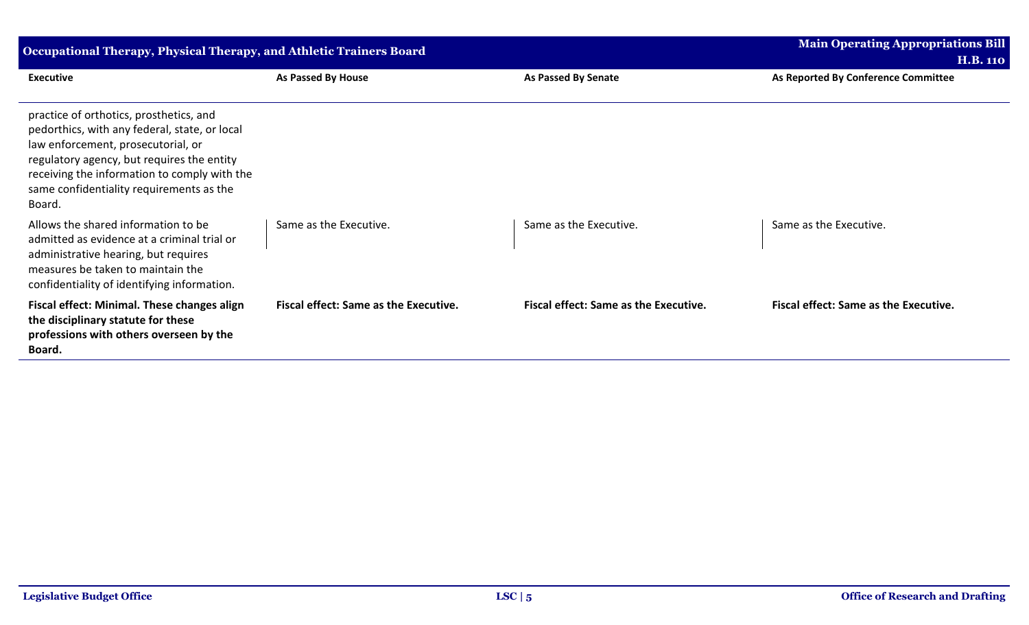| <b>Occupational Therapy, Physical Therapy, and Athletic Trainers Board</b>                                                                                                                                                                                                         | <b>Main Operating Appropriations Bill</b><br><b>H.B. 110</b> |                                              |                                              |
|------------------------------------------------------------------------------------------------------------------------------------------------------------------------------------------------------------------------------------------------------------------------------------|--------------------------------------------------------------|----------------------------------------------|----------------------------------------------|
| <b>Executive</b>                                                                                                                                                                                                                                                                   | As Passed By House                                           | <b>As Passed By Senate</b>                   | As Reported By Conference Committee          |
| practice of orthotics, prosthetics, and<br>pedorthics, with any federal, state, or local<br>law enforcement, prosecutorial, or<br>regulatory agency, but requires the entity<br>receiving the information to comply with the<br>same confidentiality requirements as the<br>Board. |                                                              |                                              |                                              |
| Allows the shared information to be<br>admitted as evidence at a criminal trial or<br>administrative hearing, but requires<br>measures be taken to maintain the<br>confidentiality of identifying information.                                                                     | Same as the Executive.                                       | Same as the Executive.                       | Same as the Executive.                       |
| Fiscal effect: Minimal. These changes align<br>the disciplinary statute for these<br>professions with others overseen by the<br>Board.                                                                                                                                             | <b>Fiscal effect: Same as the Executive.</b>                 | <b>Fiscal effect: Same as the Executive.</b> | <b>Fiscal effect: Same as the Executive.</b> |